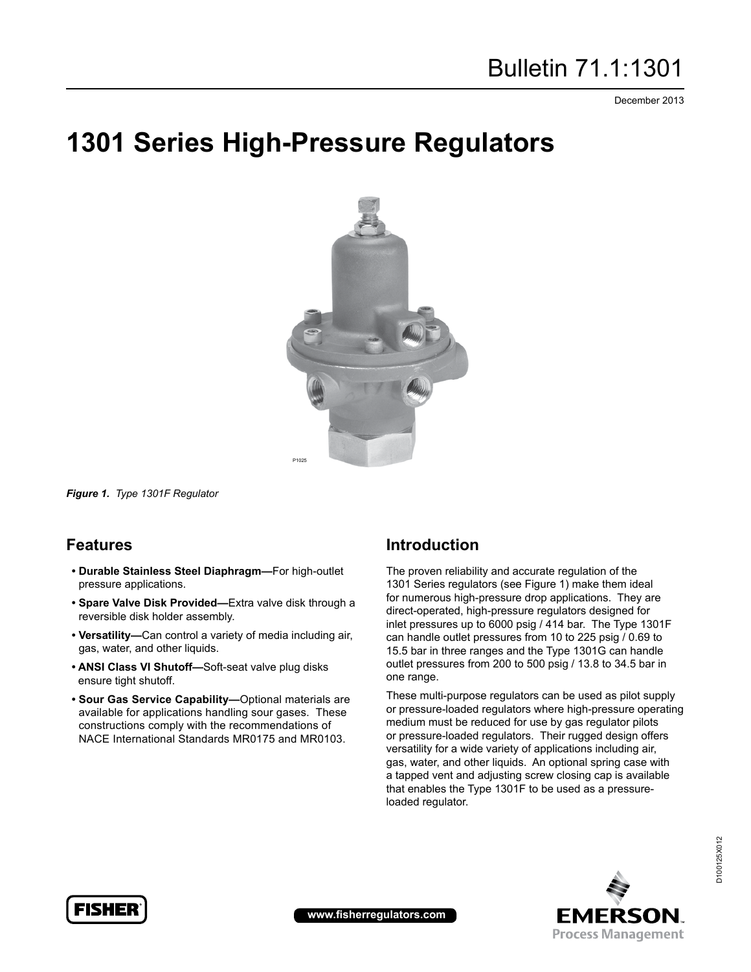December 2013

# **1301 Series High-Pressure Regulators**



*Figure 1. Type 1301F Regulator*

# **Features**

- **Durable Stainless Steel Diaphragm—**For high-outlet pressure applications.
- **Spare Valve Disk Provided—**Extra valve disk through a reversible disk holder assembly.
- **Versatility—**Can control a variety of media including air, gas, water, and other liquids.
- **ANSI Class VI Shutoff—**Soft-seat valve plug disks ensure tight shutoff.
- **Sour Gas Service Capability—**Optional materials are available for applications handling sour gases. These constructions comply with the recommendations of NACE International Standards MR0175 and MR0103.

# **Introduction**

The proven reliability and accurate regulation of the 1301 Series regulators (see Figure 1) make them ideal for numerous high-pressure drop applications. They are direct-operated, high-pressure regulators designed for inlet pressures up to 6000 psig / 414 bar. The Type 1301F can handle outlet pressures from 10 to 225 psig / 0.69 to 15.5 bar in three ranges and the Type 1301G can handle outlet pressures from 200 to 500 psig / 13.8 to 34.5 bar in one range.

These multi-purpose regulators can be used as pilot supply or pressure-loaded regulators where high-pressure operating medium must be reduced for use by gas regulator pilots or pressure-loaded regulators. Their rugged design offers versatility for a wide variety of applications including air, gas, water, and other liquids. An optional spring case with a tapped vent and adjusting screw closing cap is available that enables the Type 1301F to be used as a pressureloaded regulator.





**www.fisherregulators.com**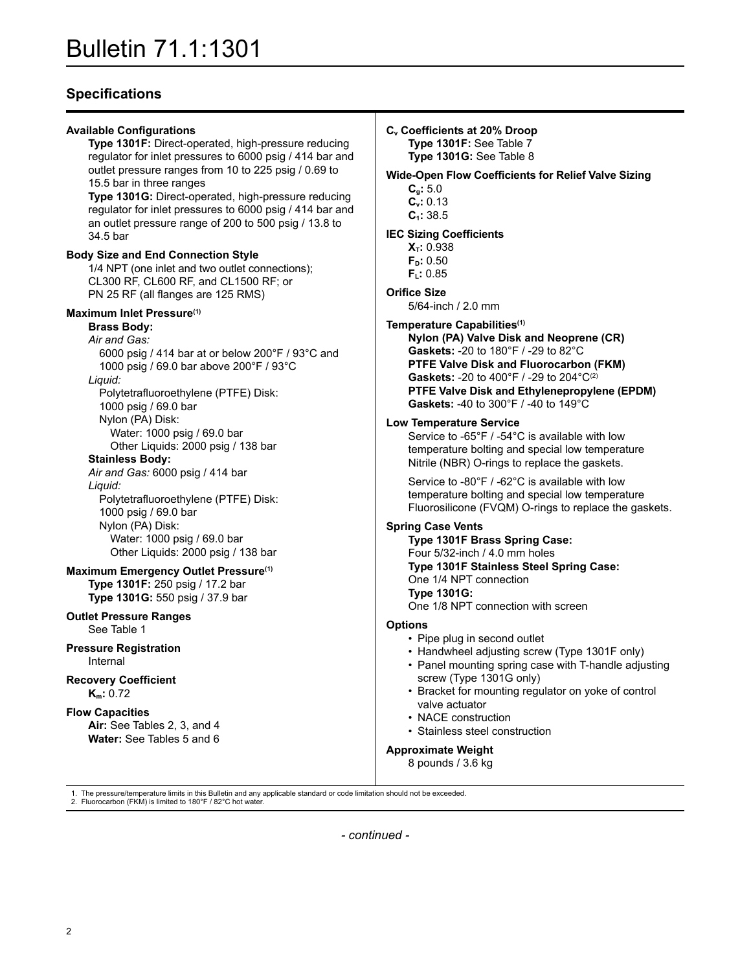# **Specifications**

| <b>Available Configurations</b><br>Type 1301F: Direct-operated, high-pressure reducing<br>regulator for inlet pressures to 6000 psig / 414 bar and<br>outlet pressure ranges from 10 to 225 psig / 0.69 to<br>15.5 bar in three ranges                                                                                                          | $C_v C$<br>Wid |
|-------------------------------------------------------------------------------------------------------------------------------------------------------------------------------------------------------------------------------------------------------------------------------------------------------------------------------------------------|----------------|
| Type 1301G: Direct-operated, high-pressure reducing<br>regulator for inlet pressures to 6000 psig / 414 bar and<br>an outlet pressure range of 200 to 500 psig / 13.8 to<br>34.5 bar                                                                                                                                                            | <b>IEC</b>     |
| <b>Body Size and End Connection Style</b><br>1/4 NPT (one inlet and two outlet connections);<br>CL300 RF, CL600 RF, and CL1500 RF; or<br>PN 25 RF (all flanges are 125 RMS)                                                                                                                                                                     | Orif           |
| Maximum Inlet Pressure <sup>(1)</sup><br><b>Brass Body:</b><br>Air and Gas:<br>6000 psig / 414 bar at or below 200°F / 93°C and<br>1000 psig / 69.0 bar above 200°F / 93°C<br>Liquid:<br>Polytetrafluoroethylene (PTFE) Disk:                                                                                                                   | Tem            |
| 1000 psig / 69.0 bar<br>Nylon (PA) Disk:<br>Water: 1000 psig / 69.0 bar<br>Other Liquids: 2000 psig / 138 bar<br><b>Stainless Body:</b><br>Air and Gas: 6000 psig / 414 bar<br>Liquid:<br>Polytetrafluoroethylene (PTFE) Disk:<br>1000 psig / 69.0 bar<br>Nylon (PA) Disk:<br>Water: 1000 psig / 69.0 bar<br>Other Liquids: 2000 psig / 138 bar | Low<br>Spri    |
| Maximum Emergency Outlet Pressure <sup>(1)</sup><br>Type 1301F: 250 psig / 17.2 bar<br>Type 1301G: 550 psig / 37.9 bar                                                                                                                                                                                                                          |                |
| <b>Outlet Pressure Ranges</b><br>See Table 1                                                                                                                                                                                                                                                                                                    | Opti           |
| <b>Pressure Registration</b><br>Internal                                                                                                                                                                                                                                                                                                        |                |
| <b>Recovery Coefficient</b><br>$K_m: 0.72$                                                                                                                                                                                                                                                                                                      |                |
| <b>Flow Capacities</b><br>Air: See Tables 2, 3, and 4<br>Water: See Tables 5 and 6                                                                                                                                                                                                                                                              | App            |

**Cv Coefficients at 20% Droop Type 1301F:** See Table 7 **Type 1301G:** See Table 8

**Wide-Open Flow Coefficients for Relief Valve Sizing Cg:** 5.0 **Cv:** 0.13 **C1:** 38.5

**Sizing Coefficients** 

**X<sub>T</sub>: 0.938 FD:** 0.50 **FL:** 0.85

### **ice Size**

5/64-inch / 2.0 mm

### **Temperature Capabilities(1)**

**Nylon (PA) Valve Disk and Neoprene (CR) Gaskets:** -20 to 180°F / -29 to 82°C **PTFE Valve Disk and Fluorocarbon (FKM) Gaskets:** -20 to 400°F / -29 to 204°C(2) **PTFE Valve Disk and Ethylenepropylene (EPDM) Gaskets:** -40 to 300°F / -40 to 149°C

### **Low Temperature Service**

 Service to -65°F / -54°C is available with low temperature bolting and special low temperature Nitrile (NBR) O-rings to replace the gaskets.

 Service to -80°F / -62°C is available with low temperature bolting and special low temperature Fluorosilicone (FVQM) O-rings to replace the gaskets.

#### **Spring Case Vents**

**Type 1301F Brass Spring Case:** Four 5/32-inch / 4.0 mm holes **Type 1301F Stainless Steel Spring Case:** One 1/4 NPT connection **Type 1301G:**

One 1/8 NPT connection with screen

## **ions**

- Pipe plug in second outlet
- Handwheel adjusting screw (Type 1301F only)
- Panel mounting spring case with T-handle adjusting screw (Type 1301G only)
- Bracket for mounting regulator on yoke of control valve actuator
- NACE construction
- Stainless steel construction

## **Approximate Weight**

8 pounds / 3.6 kg

1. The pressure/temperature limits in this Bulletin and any applicable standard or code limitation should not be exceeded. 2. Fluorocarbon (FKM) is limited to 180°F / 82°C hot water.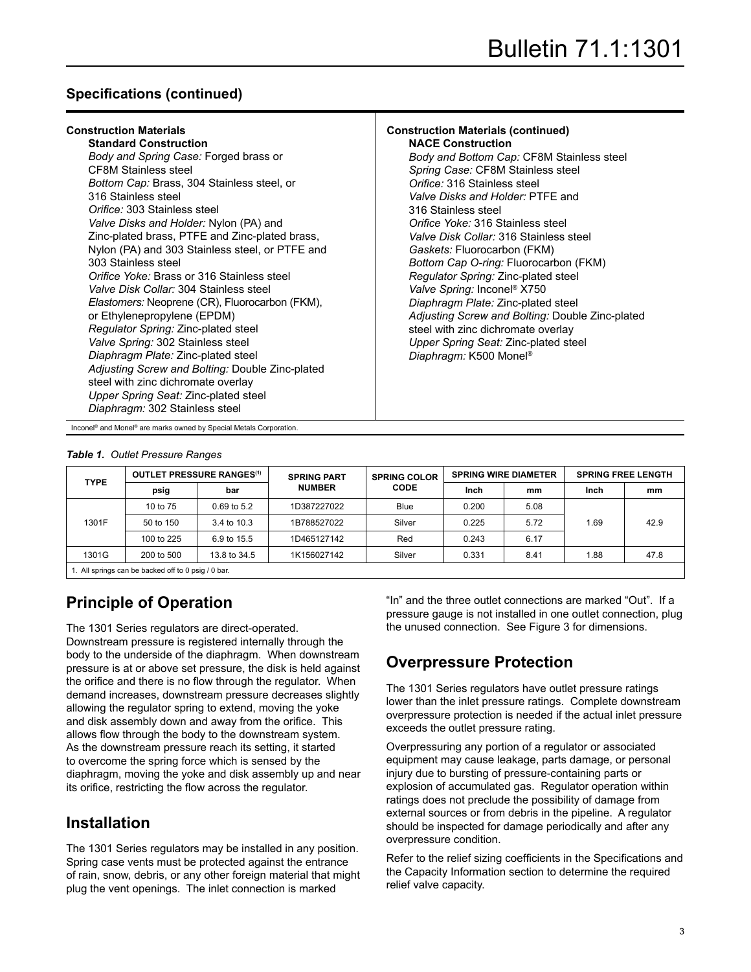# **Specifications (continued)**

| <b>Construction Materials</b>                     | <b>Construction Materials (continued)</b>       |
|---------------------------------------------------|-------------------------------------------------|
| <b>Standard Construction</b>                      | <b>NACE Construction</b>                        |
| Body and Spring Case: Forged brass or             | Body and Bottom Cap: CF8M Stainless steel       |
| <b>CF8M Stainless steel</b>                       | Spring Case: CF8M Stainless steel               |
| <i>Bottom Cap: Brass, 304 Stainless steel, or</i> | Orifice: 316 Stainless steel                    |
| 316 Stainless steel                               | <i>Valve Disks and Holder: PTFE and</i>         |
| Orifice: 303 Stainless steel                      | 316 Stainless steel                             |
| Valve Disks and Holder: Nylon (PA) and            | Orifice Yoke: 316 Stainless steel               |
| Zinc-plated brass, PTFE and Zinc-plated brass,    | Valve Disk Collar: 316 Stainless steel          |
| Nylon (PA) and 303 Stainless steel, or PTFE and   | Gaskets: Fluorocarbon (FKM)                     |
| 303 Stainless steel                               | Bottom Cap O-ring: Fluorocarbon (FKM)           |
| Orifice Yoke: Brass or 316 Stainless steel        | Regulator Spring: Zinc-plated steel             |
| Valve Disk Collar: 304 Stainless steel            | Valve Spring: Inconel® X750                     |
| Elastomers: Neoprene (CR), Fluorocarbon (FKM),    | Diaphragm Plate: Zinc-plated steel              |
| or Ethylenepropylene (EPDM)                       | Adjusting Screw and Bolting: Double Zinc-plated |
| Regulator Spring: Zinc-plated steel               | steel with zinc dichromate overlay              |
| Valve Spring: 302 Stainless steel                 | Upper Spring Seat: Zinc-plated steel            |
| Diaphragm Plate: Zinc-plated steel                | Diaphragm: K500 Monel <sup>®</sup>              |
| Adjusting Screw and Bolting: Double Zinc-plated   |                                                 |
| steel with zinc dichromate overlay                |                                                 |
| Upper Spring Seat: Zinc-plated steel              |                                                 |

*Diaphragm:* 302 Stainless steel

Inconel® and Monel® are marks owned by Special Metals Corporation.

#### *Table 1. Outlet Pressure Ranges*

| <b>TYPE</b> |                                                  | <b>OUTLET PRESSURE RANGES(1)</b> | <b>SPRING PART</b> | <b>SPRING COLOR</b> |       | <b>SPRING WIRE DIAMETER</b> | <b>SPRING FREE LENGTH</b> |      |  |
|-------------|--------------------------------------------------|----------------------------------|--------------------|---------------------|-------|-----------------------------|---------------------------|------|--|
|             | psig                                             | bar                              | <b>NUMBER</b>      | <b>CODE</b>         | Inch  | mm                          | Inch                      | mm   |  |
|             | 10 to 75                                         | $0.69$ to 5.2                    | 1D387227022        | <b>Blue</b>         | 0.200 | 5.08                        |                           |      |  |
| 1301F       | 50 to 150                                        | 3.4 to 10.3                      | 1B788527022        | Silver              | 0.225 | 5.72                        | 1.69                      | 42.9 |  |
|             | 100 to 225                                       | 6.9 to 15.5                      | 1D465127142        | Red                 | 0.243 | 6.17                        |                           |      |  |
| 1301G       | 200 to 500                                       | 13.8 to 34.5                     | 1K156027142        | Silver              | 0.331 | 8.41                        | 1.88                      | 47.8 |  |
|             | All springs can be backed off to 0 psig $/0$ har |                                  |                    |                     |       |                             |                           |      |  |

1. All springs can be backed off to 0 psig / 0 bar.

# **Principle of Operation**

The 1301 Series regulators are direct-operated. Downstream pressure is registered internally through the body to the underside of the diaphragm. When downstream pressure is at or above set pressure, the disk is held against the orifice and there is no flow through the regulator. When demand increases, downstream pressure decreases slightly allowing the regulator spring to extend, moving the yoke and disk assembly down and away from the orifice. This allows flow through the body to the downstream system. As the downstream pressure reach its setting, it started to overcome the spring force which is sensed by the diaphragm, moving the yoke and disk assembly up and near its orifice, restricting the flow across the regulator.

# **Installation**

The 1301 Series regulators may be installed in any position. Spring case vents must be protected against the entrance of rain, snow, debris, or any other foreign material that might plug the vent openings. The inlet connection is marked

"In" and the three outlet connections are marked "Out". If a pressure gauge is not installed in one outlet connection, plug the unused connection. See Figure 3 for dimensions.

# **Overpressure Protection**

The 1301 Series regulators have outlet pressure ratings lower than the inlet pressure ratings. Complete downstream overpressure protection is needed if the actual inlet pressure exceeds the outlet pressure rating.

Overpressuring any portion of a regulator or associated equipment may cause leakage, parts damage, or personal injury due to bursting of pressure-containing parts or explosion of accumulated gas. Regulator operation within ratings does not preclude the possibility of damage from external sources or from debris in the pipeline. A regulator should be inspected for damage periodically and after any overpressure condition.

Refer to the relief sizing coefficients in the Specifications and the Capacity Information section to determine the required relief valve capacity.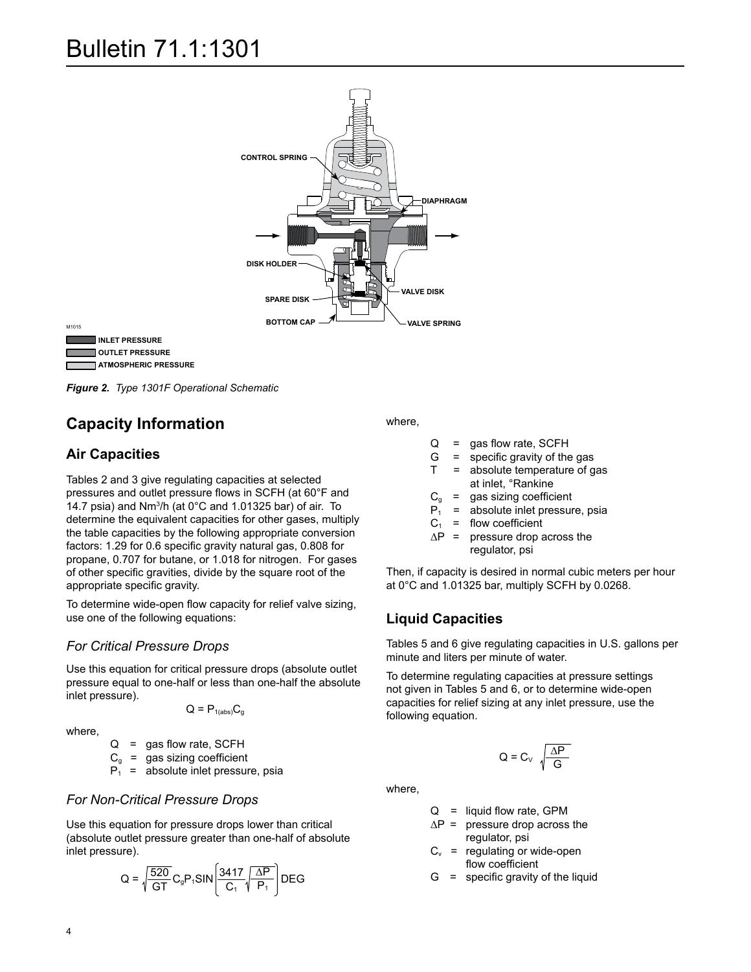



M1015

*Figure 2. Type 1301F Operational Schematic*

# **Capacity Information**

## **Air Capacities**

Tables 2 and 3 give regulating capacities at selected pressures and outlet pressure flows in SCFH (at 60°F and 14.7 psia) and Nm<sup>3</sup>/h (at 0°C and 1.01325 bar) of air. To determine the equivalent capacities for other gases, multiply the table capacities by the following appropriate conversion factors: 1.29 for 0.6 specific gravity natural gas, 0.808 for propane, 0.707 for butane, or 1.018 for nitrogen. For gases of other specific gravities, divide by the square root of the appropriate specific gravity.

To determine wide-open flow capacity for relief valve sizing, use one of the following equations:

## *For Critical Pressure Drops*

Use this equation for critical pressure drops (absolute outlet pressure equal to one-half or less than one-half the absolute inlet pressure).

$$
Q = P_{1(abs)}C_g
$$

where,

 $Q =$  gas flow rate, SCFH

 $C_{\alpha}$  = gas sizing coefficient

 $P_1$  = absolute inlet pressure, psia

## *For Non-Critical Pressure Drops*

Use this equation for pressure drops lower than critical (absolute outlet pressure greater than one-half of absolute inlet pressure).

$$
Q = \sqrt{\frac{520}{GT}} C_g P_1 S IN \left[ \frac{3417}{C_1} \sqrt{\frac{\Delta P}{P_1}} \right] DEG
$$

where,

- $Q =$  qas flow rate, SCFH
- $G =$  specific gravity of the gas

Type 1301F

- T = absolute temperature of gas at inlet, °Rankine
- 
- $C_g$  = gas sizing coefficient<br> $P_1$  = absolute inlet pressure = absolute inlet pressure, psia
- $C_1$  = flow coefficient
- $\Delta P$  = pressure drop across the regulator, psi

Then, if capacity is desired in normal cubic meters per hour at 0°C and 1.01325 bar, multiply SCFH by 0.0268.

## **Liquid Capacities**

Tables 5 and 6 give regulating capacities in U.S. gallons per minute and liters per minute of water.

To determine regulating capacities at pressure settings not given in Tables 5 and 6, or to determine wide-open capacities for relief sizing at any inlet pressure, use the following equation.

$$
Q = C_v \sqrt{\frac{\Delta P}{G}}
$$

where,

 $Q =$  liquid flow rate, GPM

- $\Delta P$  = pressure drop across the regulator, psi
- $C_v$  = regulating or wide-open flow coefficient
- $G =$  specific gravity of the liquid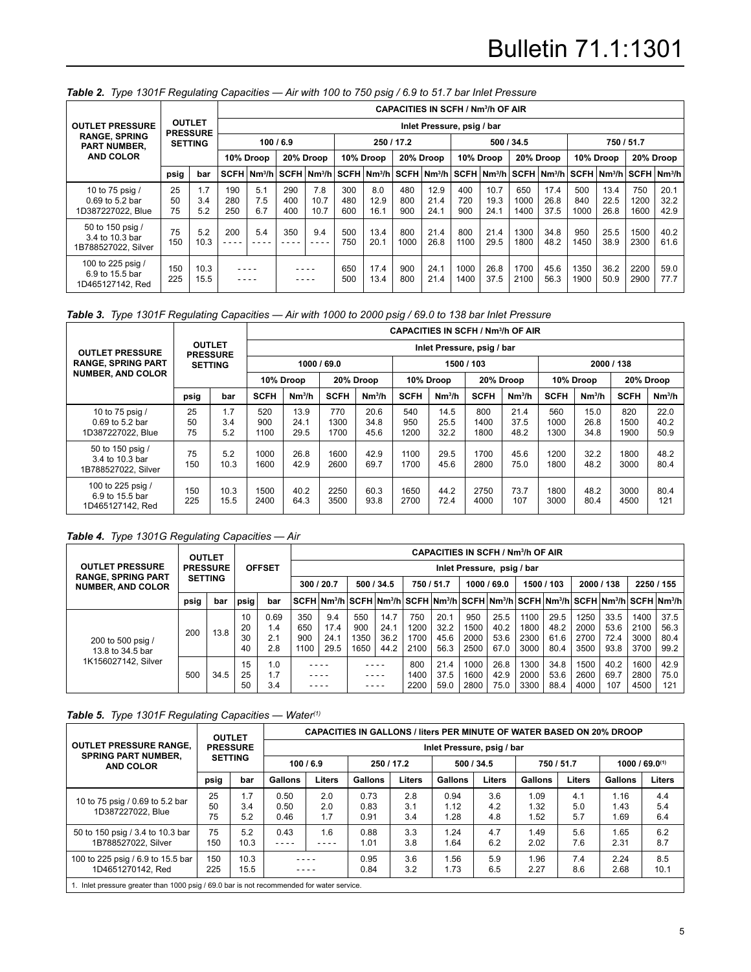|                                                            |                |                                  |                   |                                                 |                   |                     |                   |                     |                   | <b>CAPACITIES IN SCFH / Nm3/h OF AIR</b> |                   |                      |                     |                      |                    |                      |                                                              |                      |
|------------------------------------------------------------|----------------|----------------------------------|-------------------|-------------------------------------------------|-------------------|---------------------|-------------------|---------------------|-------------------|------------------------------------------|-------------------|----------------------|---------------------|----------------------|--------------------|----------------------|--------------------------------------------------------------|----------------------|
| <b>OUTLET PRESSURE</b>                                     |                | <b>OUTLET</b><br><b>PRESSURE</b> |                   |                                                 |                   |                     |                   |                     |                   | Inlet Pressure, psig / bar               |                   |                      |                     |                      |                    |                      |                                                              |                      |
| <b>RANGE, SPRING</b><br>PART NUMBER,                       |                | <b>SETTING</b>                   |                   |                                                 | 100/6.9           |                     |                   |                     | 250/17.2          |                                          |                   |                      | 500 / 34.5          |                      |                    |                      | 750 / 51.7                                                   |                      |
| <b>AND COLOR</b>                                           |                |                                  |                   | 10% Droop                                       |                   | 20% Droop           |                   | 10% Droop           |                   | 20% Droop                                |                   | 10% Droop            |                     | 20% Droop            |                    | 10% Droop            |                                                              | 20% Droop            |
|                                                            | psig           | bar                              |                   | SCFH Nm <sup>3</sup> /h SCFH Nm <sup>3</sup> /h |                   |                     |                   |                     |                   |                                          |                   |                      |                     |                      |                    |                      | │SCFH│Nm¾h│SCFH│Nm¾h│SCFH│Nm¾h│SCFH│Nm¾h│SCFH│Nm¾h│SCFH│Nm¾h |                      |
| 10 to 75 psig /<br>0.69 to 5.2 bar<br>1D387227022, Blue    | 25<br>50<br>75 | 1.7<br>3.4<br>5.2                | 190<br>280<br>250 | 5.1<br>7.5<br>6.7                               | 290<br>400<br>400 | 7.8<br>10.7<br>10.7 | 300<br>480<br>600 | 8.0<br>12.9<br>16.1 | 480<br>800<br>900 | 12.9<br>21.4<br>24.1                     | 400<br>720<br>900 | 10.7<br>19.3<br>24.1 | 650<br>1000<br>1400 | 17.4<br>26.8<br>37.5 | 500<br>840<br>1000 | 13.4<br>22.5<br>26.8 | 750<br>1200<br>1600                                          | 20.1<br>32.2<br>42.9 |
| 50 to 150 psig /<br>3.4 to 10.3 bar<br>1B788527022, Silver | 75<br>150      | 5.2<br>10.3                      | 200               | 5.4                                             | 350               | 9.4<br>----         | 500<br>750        | 13.4<br>20.1        | 800<br>1000       | 21.4<br>26.8                             | 800<br>1100       | 21.4<br>29.5         | 1300<br>1800        | 34.8<br>48.2         | 950<br>1450        | 25.5<br>38.9         | 1500<br>2300                                                 | 40.2<br>61.6         |
| 100 to 225 psig /<br>6.9 to 15.5 bar<br>1D465127142, Red   | 150<br>225     | 10.3<br>15.5                     |                   | ----                                            |                   | $- - - -$           | 650<br>500        | 17.4<br>13.4        | 900<br>800        | 24.1<br>21.4                             | 1000<br>1400      | 26.8<br>37.5         | 1700<br>2100        | 45.6<br>56.3         | 1350<br>1900       | 36.2<br>50.9         | 2200<br>2900                                                 | 59.0<br>77.7         |

## *Table 2. Type 1301F Regulating Capacities — Air with 100 to 750 psig / 6.9 to 51.7 bar Inlet Pressure*

## *Table 3. Type 1301F Regulating Capacities — Air with 1000 to 2000 psig / 69.0 to 138 bar Inlet Pressure*

|                                                            |                |                                  |                    |                      |                     |                      |                    |                            |                     | <b>CAPACITIES IN SCFH / Nm<sup>3</sup>/h OF AIR</b> |                     |                      |                     |                      |
|------------------------------------------------------------|----------------|----------------------------------|--------------------|----------------------|---------------------|----------------------|--------------------|----------------------------|---------------------|-----------------------------------------------------|---------------------|----------------------|---------------------|----------------------|
| <b>OUTLET PRESSURE</b>                                     |                | <b>OUTLET</b><br><b>PRESSURE</b> |                    |                      |                     |                      |                    | Inlet Pressure, psig / bar |                     |                                                     |                     |                      |                     |                      |
| <b>RANGE, SPRING PART</b>                                  |                | <b>SETTING</b>                   |                    | 1000 / 69.0          |                     |                      | 1500 / 103         |                            |                     |                                                     |                     |                      | 2000 / 138          |                      |
| <b>NUMBER, AND COLOR</b>                                   |                |                                  |                    | 10% Droop            |                     | 20% Droop            |                    | 10% Droop                  |                     | 20% Droop                                           |                     | 10% Droop            |                     | 20% Droop            |
|                                                            | psig           | bar                              | <b>SCFH</b>        | Nm <sup>3</sup> /h   | <b>SCFH</b>         | Nm <sup>3</sup> /h   | <b>SCFH</b>        | Nm <sup>3</sup> /h         | <b>SCFH</b>         | Nm <sup>3</sup> /h                                  | <b>SCFH</b>         | Nm <sup>3</sup> /h   | <b>SCFH</b>         | Nm <sup>3</sup> /h   |
| 10 to 75 psig /<br>0.69 to 5.2 bar<br>1D387227022, Blue    | 25<br>50<br>75 | 1.7<br>3.4<br>5.2                | 520<br>900<br>1100 | 13.9<br>24.1<br>29.5 | 770<br>1300<br>1700 | 20.6<br>34.8<br>45.6 | 540<br>950<br>1200 | 14.5<br>25.5<br>32.2       | 800<br>1400<br>1800 | 21.4<br>37.5<br>48.2                                | 560<br>1000<br>1300 | 15.0<br>26.8<br>34.8 | 820<br>1500<br>1900 | 22.0<br>40.2<br>50.9 |
| 50 to 150 psig /<br>3.4 to 10.3 bar<br>1B788527022, Silver | 75<br>150      | 5.2<br>10.3                      | 1000<br>1600       | 26.8<br>42.9         | 1600<br>2600        | 42.9<br>69.7         | 1100<br>1700       | 29.5<br>45.6               | 1700<br>2800        | 45.6<br>75.0                                        | 1200<br>1800        | 32.2<br>48.2         | 1800<br>3000        | 48.2<br>80.4         |
| 100 to 225 psig /<br>6.9 to 15.5 bar<br>1D465127142, Red   | 150<br>225     | 10.3<br>15.5                     | 1500<br>2400       | 40.2<br>64.3         | 2250<br>3500        | 60.3<br>93.8         | 1650<br>2700       | 44.2<br>72.4               | 2750<br>4000        | 73.7<br>107                                         | 1800<br>3000        | 48.2<br>80.4         | 3000<br>4500        | 80.4<br>121          |

## *Table 4. Type 1301G Regulating Capacities — Air*

|                                                     | <b>OUTLET</b><br><b>PRESSURE</b> | <b>CAPACITIES IN SCFH / Nm<sup>3</sup>/h OF AIR</b> |                 |                   |                    |                                                                                                |                     |                      |                      |                      |                      |                            |                      |                      |                      |                      |                      |                      |
|-----------------------------------------------------|----------------------------------|-----------------------------------------------------|-----------------|-------------------|--------------------|------------------------------------------------------------------------------------------------|---------------------|----------------------|----------------------|----------------------|----------------------|----------------------------|----------------------|----------------------|----------------------|----------------------|----------------------|----------------------|
| <b>OUTLET PRESSURE</b><br><b>RANGE, SPRING PART</b> |                                  |                                                     |                 | <b>OFFSET</b>     |                    |                                                                                                |                     |                      |                      |                      |                      | Inlet Pressure, psig / bar |                      |                      |                      |                      |                      |                      |
| <b>SETTING</b><br><b>NUMBER, AND COLOR</b>          |                                  |                                                     |                 |                   | 300 / 20.7         |                                                                                                | 500/34.5            |                      | 750 / 51.7           |                      | 1000 / 69.0          |                            | 1500 / 103           |                      | 2000 / 138           |                      | 2250 / 155           |                      |
|                                                     | psig                             | bar                                                 | psig            | bar               |                    | SCFH   Nm¾h   SCFH  Nm¾h   SCFH   Nm¾h   SCFH   Nm¾h   SCFH   Nm¾h   SCFH   Nm¾h   SCFH   Nm¾h |                     |                      |                      |                      |                      |                            |                      |                      |                      |                      |                      |                      |
| 200 to 500 psig /<br>13.8 to 34.5 bar               | 200                              |                                                     | 10 <sup>°</sup> | 0.69              | 350                | 9.4                                                                                            | 550                 | 14.7                 | 750                  | 20.1                 | 950                  | 25.5                       | 1100                 | 29.5                 | 1250                 | 33.5                 | 1400                 | 37.5                 |
|                                                     |                                  | 13.8                                                | 20<br>30<br>40  | 1.4<br>2.1<br>2.8 | 650<br>900<br>1100 | 17.4<br>24.1<br>29.5                                                                           | 900<br>1350<br>1650 | 24.1<br>36.2<br>44.2 | 1200<br>1700<br>2100 | 32.2<br>45.6<br>56.3 | 1500<br>2000<br>2500 | 40.2<br>53.6<br>67.0       | 1800<br>2300<br>3000 | 48.2<br>61.6<br>80.4 | 2000<br>2700<br>3500 | 53.6<br>72.4<br>93.8 | 2100<br>3000<br>3700 | 56.3<br>80.4<br>99.2 |
| 1K156027142, Silver                                 | 500                              | 34.5                                                | 15<br>25<br>50  | 1.0<br>1.7<br>3.4 |                    | ----                                                                                           | $- - - -$           | ----                 | 800<br>1400<br>2200  | 21.4<br>37.5<br>59.0 | 1000<br>1600<br>2800 | 26.8<br>42.9<br>75.0       | 1300<br>2000<br>3300 | 34.8<br>53.6<br>88.4 | 1500<br>2600<br>4000 | 40.2<br>69.7<br>107  | 1600<br>2800<br>4500 | 42.9<br>75.0<br>121  |

## *Table 5. Type 1301F Regulating Capacities — Water(1)*

|                                                                                           | <b>OUTLET</b>  |                   | <b>CAPACITIES IN GALLONS / liters PER MINUTE OF WATER BASED ON 20% DROOP</b> |                   |                      |                   |                            |                   |                      |                   |                      |                   |  |  |  |
|-------------------------------------------------------------------------------------------|----------------|-------------------|------------------------------------------------------------------------------|-------------------|----------------------|-------------------|----------------------------|-------------------|----------------------|-------------------|----------------------|-------------------|--|--|--|
| <b>OUTLET PRESSURE RANGE.</b>                                                             |                | <b>PRESSURE</b>   |                                                                              |                   |                      |                   | Inlet Pressure, psig / bar |                   |                      |                   |                      |                   |  |  |  |
| <b>SPRING PART NUMBER.</b><br><b>AND COLOR</b>                                            | <b>SETTING</b> |                   | 100/6.9                                                                      |                   | 250 / 17.2           |                   | 500 / 34.5                 |                   | 750 / 51.7           |                   |                      | 1000 / 69.0(1)    |  |  |  |
|                                                                                           | psig           | bar               | <b>Gallons</b>                                                               | Liters            | <b>Gallons</b>       | <b>Liters</b>     | <b>Gallons</b>             | <b>Liters</b>     | <b>Gallons</b>       | Liters            | <b>Gallons</b>       | Liters            |  |  |  |
| 10 to 75 psig / 0.69 to 5.2 bar<br>1D387227022, Blue                                      | 25<br>50<br>75 | 1.7<br>3.4<br>5.2 | 0.50<br>0.50<br>0.46                                                         | 2.0<br>2.0<br>1.7 | 0.73<br>0.83<br>0.91 | 2.8<br>3.1<br>3.4 | 0.94<br>1.12<br>1.28       | 3.6<br>4.2<br>4.8 | 1.09<br>1.32<br>1.52 | 4.1<br>5.0<br>5.7 | 1.16<br>l.43<br>1.69 | 4.4<br>5.4<br>6.4 |  |  |  |
| 50 to 150 psig / 3.4 to 10.3 bar<br>1B788527022, Silver                                   | 75<br>150      | 5.2<br>10.3       | 0.43                                                                         | 1.6               | 0.88<br>1.01         | 3.3<br>3.8        | 1.24<br>1.64               | 4.7<br>6.2        | 1.49<br>2.02         | 5.6<br>7.6        | 1.65<br>2.31         | 6.2<br>8.7        |  |  |  |
| 100 to 225 psig / 6.9 to 15.5 bar<br>1D4651270142. Red                                    | 150<br>225     | 10.3<br>15.5      | ----                                                                         |                   | 0.95<br>0.84         | 3.6<br>3.2        | 1.56<br>1.73               | 5.9<br>6.5        | 1.96<br>2.27         | 7.4<br>8.6        | 2.24<br>2.68         | 8.5<br>10.1       |  |  |  |
| 1. Inlet pressure greater than 1000 psig / 69.0 bar is not recommended for water service. |                |                   |                                                                              |                   |                      |                   |                            |                   |                      |                   |                      |                   |  |  |  |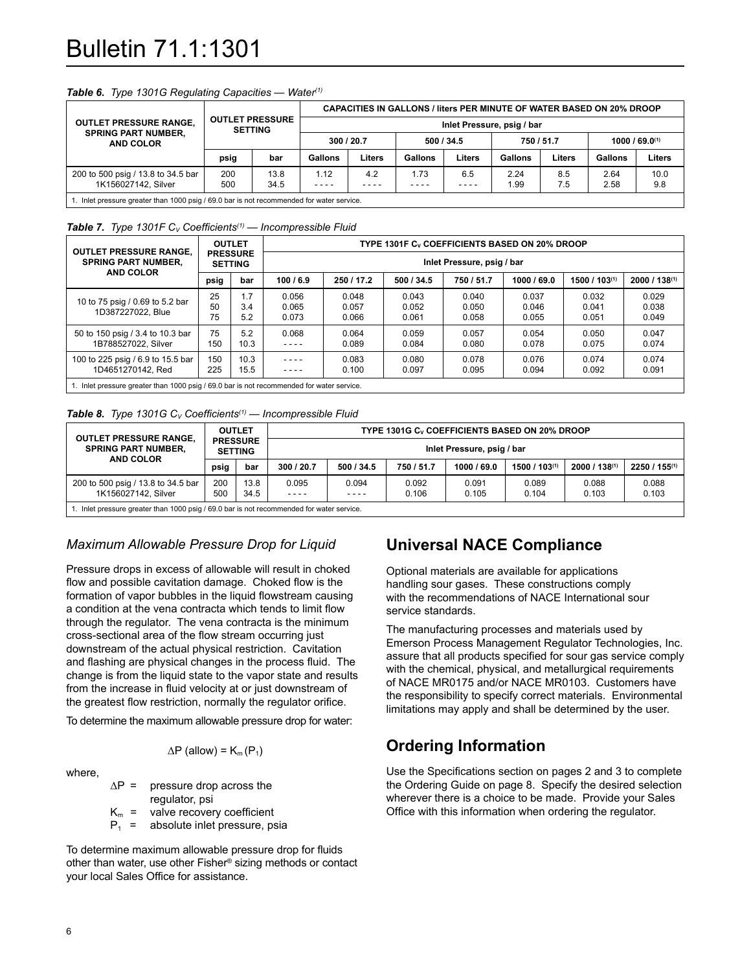# Bulletin 71.1:1301

|                                                                                          |      |                                          |            |        | CAPACITIES IN GALLONS / liters PER MINUTE OF WATER BASED ON 20% DROOP |            |                            |            |         |                     |
|------------------------------------------------------------------------------------------|------|------------------------------------------|------------|--------|-----------------------------------------------------------------------|------------|----------------------------|------------|---------|---------------------|
| <b>OUTLET PRESSURE RANGE,</b>                                                            |      | <b>OUTLET PRESSURE</b><br><b>SETTING</b> |            |        |                                                                       |            | Inlet Pressure, psig / bar |            |         |                     |
| <b>SPRING PART NUMBER,</b><br>AND COLOR                                                  |      |                                          | 300 / 20.7 |        |                                                                       | 500 / 34.5 |                            | 750 / 51.7 |         | $1000 / 69.0^{(1)}$ |
|                                                                                          | psig | bar                                      | Gallons    | Liters | Gallons                                                               | Liters     | Gallons                    | Liters     | Gallons | Liters              |
| 200 to 500 psig / 13.8 to 34.5 bar                                                       | 200  | 13.8                                     | .12        | 4.2    | 1.73                                                                  | 6.5        | 2.24                       | 8.5        | 2.64    | 10.0                |
| 1K156027142, Silver                                                                      | 500  | 34.5                                     | $- - - -$  | ----   | - - - -                                                               | ----       | 1.99                       | 7.5        | 2.58    | 9.8                 |
| . Inlet pressure greater than 1000 psig / 69.0 bar is not recommended for water service. |      |                                          |            |        |                                                                       |            |                            |            |         |                     |

#### *Table 6. Type 1301G Regulating Capacities — Water(1)*

#### **Table 7.** *Type 1301F C<sub>V</sub> Coefficients<sup>(1)</sup> — Incompressible Fluid*

| <b>OUTLET PRESSURE RANGE.</b>                           | <b>OUTLET</b><br><b>PRESSURE</b> |                   | TYPE 1301F Cy COEFFICIENTS BASED ON 20% DROOP |                            |                         |                         |                         |                         |                         |  |  |  |  |
|---------------------------------------------------------|----------------------------------|-------------------|-----------------------------------------------|----------------------------|-------------------------|-------------------------|-------------------------|-------------------------|-------------------------|--|--|--|--|
| <b>SPRING PART NUMBER.</b>                              |                                  | <b>SETTING</b>    |                                               | Inlet Pressure, psig / bar |                         |                         |                         |                         |                         |  |  |  |  |
| <b>AND COLOR</b>                                        | psig                             | bar               | 100/6.9                                       | 250 / 17.2                 | 500/34.5                | 750 / 51.7              | 1000 / 69.0             | 1500 / 103(1)           | $2000 / 138^{(1)}$      |  |  |  |  |
| 10 to 75 psig / 0.69 to 5.2 bar<br>1D387227022, Blue    | 25<br>50<br>75                   | 1.7<br>3.4<br>5.2 | 0.056<br>0.065<br>0.073                       | 0.048<br>0.057<br>0.066    | 0.043<br>0.052<br>0.061 | 0.040<br>0.050<br>0.058 | 0.037<br>0.046<br>0.055 | 0.032<br>0.041<br>0.051 | 0.029<br>0.038<br>0.049 |  |  |  |  |
| 50 to 150 psig / 3.4 to 10.3 bar<br>1B788527022, Silver | 75<br>150                        | 5.2<br>10.3       | 0.068<br>- - - -                              | 0.064<br>0.089             | 0.059<br>0.084          | 0.057<br>0.080          | 0.054<br>0.078          | 0.050<br>0.075          | 0.047<br>0.074          |  |  |  |  |
| 100 to 225 psig / 6.9 to 15.5 bar<br>1D4651270142, Red  | 150<br>225                       | 10.3<br>15.5      | ----<br>----                                  | 0.083<br>0.100             | 0.080<br>0.097          | 0.078<br>0.095          | 0.076<br>0.094          | 0.074<br>0.092          | 0.074<br>0.091          |  |  |  |  |

1. Inlet pressure greater than 1000 psig / 69.0 bar is not recommended for water service

#### *Table 8. Type 1301G C<sub>V</sub> Coefficients<sup>(1)</sup> — Incompressible Fluid*

| <b>OUTLET PRESSURE RANGE.</b>                                                                                                                                                                                                 |            | <b>OUTLET</b>                     |                                                                                                                                    |            | TYPE 1301G C <sub>v</sub> COEFFICIENTS BASED ON 20% DROOP |             |                  |                  |               |  |  |  |
|-------------------------------------------------------------------------------------------------------------------------------------------------------------------------------------------------------------------------------|------------|-----------------------------------|------------------------------------------------------------------------------------------------------------------------------------|------------|-----------------------------------------------------------|-------------|------------------|------------------|---------------|--|--|--|
| <b>SPRING PART NUMBER,</b><br><b>AND COLOR</b>                                                                                                                                                                                |            | <b>PRESSURE</b><br><b>SETTING</b> | Inlet Pressure, psig / bar                                                                                                         |            |                                                           |             |                  |                  |               |  |  |  |
|                                                                                                                                                                                                                               | psig       | bar                               | 300 / 20.7                                                                                                                         | 500 / 34.5 | 750 / 51.7                                                | 1000 / 69.0 | $1500/103^{(1)}$ | $2000/138^{(1)}$ | 2250 / 155(1) |  |  |  |
| 200 to 500 psig / 13.8 to 34.5 bar<br>1K156027142, Silver                                                                                                                                                                     | 200<br>500 | 13.8<br>34.5                      | 0.088<br>0.095<br>0.094<br>0.092<br>0.091<br>0.089<br>0.088<br>0.103<br>0.106<br>0.105<br>0.103<br>0.104<br>$- - - -$<br>$- - - -$ |            |                                                           |             |                  |                  |               |  |  |  |
| Lating and the second property of the 1000 paint in the second resonance of the unit of the second to the second the second to the second to the second to the second to the second second to the second second to the second |            |                                   |                                                                                                                                    |            |                                                           |             |                  |                  |               |  |  |  |

1. Inlet pressure greater than 1000 psig / 69.0 bar is not recommended for water service.

## *Maximum Allowable Pressure Drop for Liquid*

Pressure drops in excess of allowable will result in choked flow and possible cavitation damage. Choked flow is the formation of vapor bubbles in the liquid flowstream causing a condition at the vena contracta which tends to limit flow through the regulator. The vena contracta is the minimum cross-sectional area of the flow stream occurring just downstream of the actual physical restriction. Cavitation and flashing are physical changes in the process fluid. The change is from the liquid state to the vapor state and results from the increase in fluid velocity at or just downstream of the greatest flow restriction, normally the regulator orifice.

To determine the maximum allowable pressure drop for water:

$$
\Delta P \text{ (allow)} = K_m(P_1)
$$

where,

| $AP =$  | pressure drop across the      |
|---------|-------------------------------|
|         | regulator, psi                |
| $K_m =$ | valve recovery coefficient    |
| $P_1 =$ | absolute inlet pressure, psia |

To determine maximum allowable pressure drop for fluids other than water, use other Fisher® sizing methods or contact your local Sales Office for assistance.

# **Universal NACE Compliance**

Optional materials are available for applications handling sour gases. These constructions comply with the recommendations of NACE International sour service standards.

The manufacturing processes and materials used by Emerson Process Management Regulator Technologies, Inc. assure that all products specified for sour gas service comply with the chemical, physical, and metallurgical requirements of NACE MR0175 and/or NACE MR0103. Customers have the responsibility to specify correct materials. Environmental limitations may apply and shall be determined by the user.

# **Ordering Information**

Use the Specifications section on pages 2 and 3 to complete the Ordering Guide on page 8. Specify the desired selection wherever there is a choice to be made. Provide your Sales Office with this information when ordering the regulator.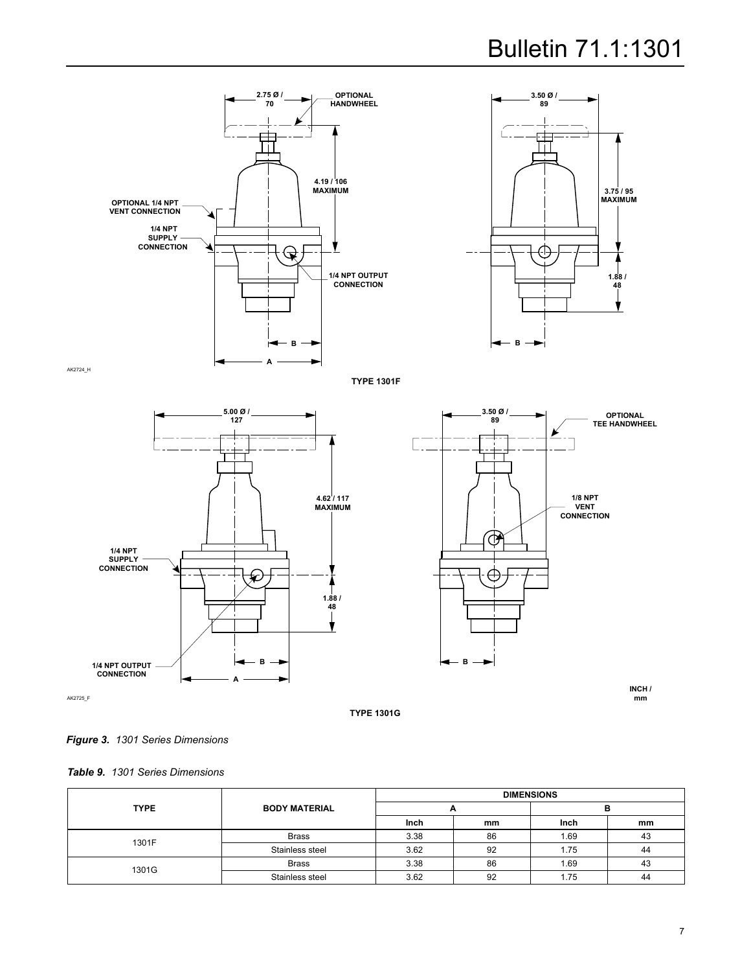



**Type 1301f**





**INCH / mm**

**Type 1301G**



*Table 9. 1301 Series Dimensions*

|             |                      |      | <b>DIMENSIONS</b> |      |    |  |
|-------------|----------------------|------|-------------------|------|----|--|
| <b>TYPE</b> | <b>BODY MATERIAL</b> | -    |                   |      |    |  |
|             |                      | Inch | mm                | Inch | mm |  |
| 1301F       | <b>Brass</b>         | 3.38 | 86                | 1.69 | 43 |  |
|             | Stainless steel      | 3.62 | 92                | 1.75 | 44 |  |
| 1301G       | <b>Brass</b>         | 3.38 | 86                | 1.69 | 43 |  |
|             | Stainless steel      | 3.62 | 92                | 1.75 | 44 |  |